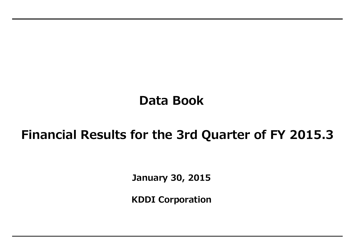# **Data Book**

# **Financial Results for the 3rd Quarter of FY 2015.3**

**January 30, 2015**

**KDDI Corporation**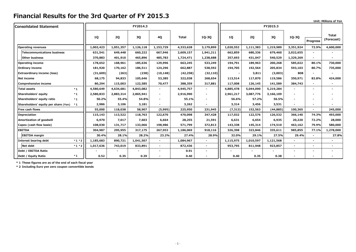|                                              |           |           |           |           |              |                          |           |           |           |                          |                          | <b>Unit: Millions of Yen</b> |
|----------------------------------------------|-----------|-----------|-----------|-----------|--------------|--------------------------|-----------|-----------|-----------|--------------------------|--------------------------|------------------------------|
| <b>Consolidated Statement</b>                |           |           | FY2014.3  |           |              |                          |           |           | FY2015.3  |                          |                          |                              |
|                                              | <b>1Q</b> | <b>2Q</b> | 3Q        | 4Q        | <b>Total</b> | 1Q-3Q                    | 1Q        | 2Q        | 3Q        | 1Q-3Q                    |                          | <b>Total</b><br>(Forecast)   |
|                                              |           |           |           |           |              |                          |           |           |           |                          | <b>Progress</b>          |                              |
| <b>Operating revenues</b>                    | 1,002,423 | 1,051,357 | 1,126,118 | 1,153,729 | 4,333,628    | 3,179,899                | 1,020,552 | 1,111,383 | 1,219,989 | 3,351,924                | 72.9%                    | 4,600,000                    |
| <b>Telecommunications business</b>           | 631,541   | 649,448   | 660,222   | 667,946   | 2,609,157    | 1,941,211                | 662,859   | 680,336   | 679,460   | 2,022,655                |                          |                              |
| <b>Other business</b>                        | 370,883   | 401,910   | 465,896   | 485,783   | 1,724,471    | 1,238,688                | 357,693   | 431,047   | 540,529   | 1,329,269                | $\overline{\phantom{0}}$ |                              |
| <b>Operating income</b>                      | 178,652   | 168,961   | 185,636   | 129,996   | 663,245      | 533,249                  | 194,791   | 189,963   | 200,268   | 585,022                  | 80.1%                    | 730,000                      |
| Ordinary income                              | 181,920   | 170,162   | 186,511   | 124,296   | 662,887      | 538,592                  | 194,705   | 192,564   | 205,834   | 593,103                  | 80.7%                    | 735,000                      |
| <b>Extraordinary income (loss)</b>           | (31,609)  | (263)     | (238)     | (10, 148) | (42, 258)    | (32, 110)                |           | 3,811     | (3,003)   | 808                      |                          |                              |
| Net income                                   | 68,175    | 94,833    | 105,646   | 53,385    | 322,038      | 268,654                  | 113,514   | 117,870   | 119,586   | 350,971                  | 82.8%                    | 424,000                      |
| Comprehensive income                         | 80,294    | 115,003   | 122,585   | 70,477    | 388,359      | 317,881                  | 117,008   | 126,145   | 141,589   | 384,743                  |                          |                              |
| <b>Total assets</b><br>$*1$                  | 4,580,649 | 4,634,681 | 4,843,082 |           | 4,945,757    |                          | 4,885,478 | 5,044,090 | 5,219,284 |                          |                          |                              |
| Shareholders' equity<br>$*1$                 | 2,580,833 | 2,883,314 | 2,865,941 |           | 2,916,990    | $\overline{\phantom{a}}$ | 2,961,217 | 3,087,776 | 3,166,109 | $\overline{\phantom{a}}$ |                          |                              |
| Shareholders' equity ratio<br>$*1$           | 50.2%     | 55.4%     | 54.8%     |           | 55.1%        | $\overline{\phantom{a}}$ | 56.6%     | 57.2%     | 56.5%     | ٠                        |                          |                              |
| Shareholders' equity per share (Yen)<br>$*1$ | 2,986     | 3,106     | 3,181     |           | 3,262        | $\blacksquare$           | 3,314     | 3,456     | 3,531     |                          | $\blacksquare$           |                              |
| Free cash flows                              | 55,000    | 118,038   | 58,907    | (5,995)   | 225,950      | 231,945                  | (7, 313)  | 152,563   | (44, 885) | 100,365                  | ٠                        | 245,000                      |
| Depreciation                                 | 115,143   | 113,522   | 118,763   | 122,670   | 470,098      | 347,428                  | 117,032   | 122,576   | 126,532   | 366,140                  | 74.3%                    | 493,000                      |
| Amortization of goodwill                     | 6,970     | 7,017     | 7,603     | 6,664     | 28,255       | 21,591                   | 6,631     | 6,654     | 6,935     | 20,220                   | 72.2%                    | 28,000                       |
| Capex (cash flow basis)                      | 108,030   | 131,717   | 133,066   | 198,986   | 571,799      | 372,813                  | 143,338   | 145,314   | 174,510   | 463,162                  | 79.9%                    | 580,000                      |
| <b>EBITDA</b>                                | 304,987   | 295,955   | 317,175   | 267,953   | 1,186,069    | 918,116                  | 326,398   | 323,846   | 335,611   | 985,855                  | 77.1%                    | 1,278,000                    |
| <b>EBITDA</b> margin                         | 30.4%     | 28.1%     | 28.2%     | 23.2%     | 27.4%        | 28.9%                    | 32.0%     | 29.1%     | 27.5%     | 29.4%                    |                          | 27.8%                        |
| $*1 * 2$<br><b>Interest bearing debt</b>     | 1,185,683 | 890,721   | 1,041,507 | $\sim$    | 1,084,967    | $\overline{\phantom{0}}$ | 1,115,975 | 1,010,597 | 1,121,568 | $\blacksquare$           | $\overline{\phantom{0}}$ | $\blacksquare$               |
| Net debt<br>$*1 * 2$                         | 1,017,636 | 743,019   | 833,891   | $\sim$    | 872,436      | $\blacksquare$           | 953,795   | 811,948   | 923,857   | $\blacksquare$           | ٠                        | $\sim$                       |
| Debt / EBITDA Ratio                          |           | ۰         |           |           | 0.91         | $\overline{\phantom{a}}$ |           |           |           |                          |                          | $\overline{\phantom{a}}$     |
| $*1$<br>Debt / Equity Ratio                  | 0.52      | 0.35      | 0.39      |           | 0.40         |                          | 0.40      | 0.35      | 0.38      |                          |                          |                              |

**\* 1 These figures are as of the end of each fiscal year**

**\* 2 Including Euro yen zero coupon convertible bonds**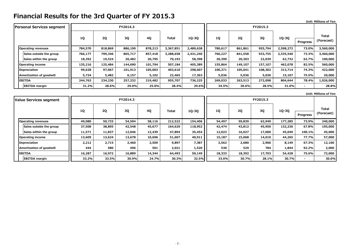|                                  |           |           |          |         |              |           |         |           |          |           |                 | <b>Unit: Millions of Yen</b> |
|----------------------------------|-----------|-----------|----------|---------|--------------|-----------|---------|-----------|----------|-----------|-----------------|------------------------------|
| <b>Personal Services segment</b> |           |           | FY2014.3 |         |              |           |         |           | FY2015.3 |           |                 |                              |
|                                  | <b>1Q</b> | <b>2Q</b> | 3Q       | 4Q      | <b>Total</b> | 1Q-3Q     | 1Q      | <b>2Q</b> | 3Q       | 1Q-3Q     | <b>Progress</b> | Total<br>(Forecast)          |
| <b>Operating revenues</b>        | 784,570   | 818,869   | 886,199  | 878,213 | 3,367,851    | 2,489,638 | 780,617 | 861,861   | 955,794  | 2,598,272 | 73.0%           | 3,560,000                    |
| Sales outside the group          | 766,177   | 799,346   | 865,717  | 857,418 | 3,288,658    | 2,431,240 | 760,227 | 841,558   | 933,755  | 2,535,540 | 73.3%           | 3,460,000                    |
| Sales within the group           | 18,392    | 19,524    | 20,482   | 20,795  | 79,193       | 58,398    | 20,390  | 20,303    | 22,039   | 62,732    | 62.7%           | 100,000                      |
| <b>Operating income</b>          | 135,216   | 125,484   | 144,690  | 101,794 | 507,184      | 405,389   | 155,864 | 149,107   | 157,107  | 462,078   | 82.5%           | 560,000                      |
| Depreciation                     | 99,628    | 97,067    | 101,913  | 105,003 | 403,610      | 298,607   | 100,371 | 105,041   | 108,302  | 313,714   | 74.3%           | 422,000                      |
| <b>Amortization of goodwill</b>  | 5,724     | 5,482     | 6,157    | 5,102   | 22,465       | 17,363    | 5,036   | 5,036     | 5,036    | 15,107    | 75.5%           | 20,000                       |
| <b>EBITDA</b>                    | 244,763   | 234,230   | 257,232  | 219,482 | 955,707      | 736,225   | 269,033 | 263,513   | 272,098  | 804,644   | 78.4%           | 1,026,000                    |
| <b>EBITDA</b> margin             | 31.2%     | 28.6%     | 29.0%    | 25.0%   | 28.4%        | 29.6%     | 34.5%   | 30.6%     | 28.5%    | 31.0%     |                 | 28.8%                        |

**Unit: Millions of Yen**

| Value Services segment    |        |        | FY2014.3 |        |         |         |        |           | FY2015.3 |         |                 |                     |
|---------------------------|--------|--------|----------|--------|---------|---------|--------|-----------|----------|---------|-----------------|---------------------|
|                           | 1Q     | 2Q     | 3Q       | 4Q     | Total   | 1Q-3Q   | 1Q     | <b>2Q</b> | 3Q       | 1Q-3Q   | <b>Progress</b> | Total<br>(Forecast) |
| <b>Operating revenues</b> | 49,080 | 50,733 | 54,594   | 58,116 | 212,522 | 154,406 | 54,497 | 59,839    | 62,949   | 177,285 | 73.9%           | 240,000             |
| Sales outside the group   | 37,508 | 38,895 | 42,548   | 45,677 | 164,629 | 118,952 | 42,474 | 43,812    | 45,950   | 132,236 | 67.8%           | 195,000             |
| Sales within the group    | 11,571 | 11,837 | 12,046   | 12,439 | 47,894  | 35,454  | 12,023 | 16,027    | 17,000   | 45,049  | 100.1%          | 45,000              |
| <b>Operating income</b>   | 13,609 | 13,624 | 13,678   | 10,696 | 51,607  | 40,911  | 15,187 | 15,068    | 14,010   | 44,265  | 77.7%           | 57,000              |
| Depreciation              | 2,212  | 2,715  | 2,460    | 2,509  | 9,897   | 7,387   | 2,562  | 2,680     | 2,906    | 8,149   | 67.3%           | 12,100              |
| Amortization of goodwill  | 444    | 580    | 496      | 501    | 2,021   | 1,520   | 530    | 529       | 784      | 1,844   | 92.2%           | 2,000               |
| <b>EBITDA</b>             | 16,287 | 16,972 | 16,889   | 14,344 | 64,493  | 50,149  | 18,333 | 18,392    | 17,703   | 54,428  | 75.6%           | 72,000              |
| <b>EBITDA</b> margin      | 33.2%  | 33.5%  | 30.9%    | 24.7%  | 30.3%   | 32.5%   | 33.6%  | 30.7%     | 28.1%    | 30.7%   | ۰               | 30.0%               |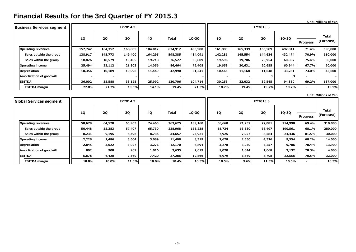|                                  |           |           |          |         |         |         |         |         |          |         |                          | <b>Unit: Millions of Yen</b> |
|----------------------------------|-----------|-----------|----------|---------|---------|---------|---------|---------|----------|---------|--------------------------|------------------------------|
| <b>Business Services segment</b> |           |           | FY2014.3 |         |         |         |         |         | FY2015.3 |         |                          |                              |
|                                  | <b>1Q</b> | <b>2Q</b> | 3Q       | 4Q      | Total   | 1Q-3Q   | 1Q      | 2Q      | 3Q       | 1Q-3Q   | <b>Progress</b>          | Total<br>(Forecast)          |
| <b>Operating revenues</b>        | 157,742   | 164,352   | 168,805  | 184,012 | 674,912 | 490,900 | 161,883 | 165,339 | 165,589  | 492,811 | 71.4%                    | 690,000                      |
| Sales outside the group          | 138,917   | 145,773   | 149,400  | 164,295 | 598,385 | 434,091 | 142,286 | 145,554 | 144,634  | 432,474 | 70.9%                    | 610,000                      |
| Sales within the group           | 18,826    | 18,579    | 19,405   | 19,718  | 76,527  | 56,809  | 19,596  | 19,786  | 20,954   | 60,337  | 75.4%                    | 80,000                       |
| <b>Operating income</b>          | 25,494    | 25,112    | 21,803   | 14,056  | 86,464  | 72,408  | 19,658  | 20,631  | 20,655   | 60,944  | 67.7%                    | 90,000                       |
| Depreciation                     | 10,356    | 10,189    | 10,996   | 11,449  | 42,990  | 31,541  | 10,465  | 11,168  | 11,648   | 33,281  | 73.0%                    | 45,600                       |
| Amortization of goodwill         |           |           |          |         |         |         |         |         |          |         | $\overline{\phantom{0}}$ |                              |
| <b>IEBITDA</b>                   | 36,002    | 35,588    | 33,125   | 25,992  | 130,706 | 104,714 | 30,253  | 32,032  | 32,545   | 94,830  | 69.2%                    | 137,000                      |
| <b>EBITDA</b> margin             | 22.8%     | 21.7%     | 19.6%    | 14.1%   | 19.4%   | 21.3%   | 18.7%   | 19.4%   | 19.7%    | 19.2%   | $\blacksquare$           | 19.9%                        |

| Global Services segment   |        |        | FY2014.3 |        |         |         |        |           | FY2015.3 |         |                          |                            |
|---------------------------|--------|--------|----------|--------|---------|---------|--------|-----------|----------|---------|--------------------------|----------------------------|
|                           | 1Q     | 2Q     | 3Q       | 4Q     | Total   | 1Q-3Q   | 1Q     | <b>2Q</b> | 3Q       | 1Q-3Q   | <b>Progress</b>          | <b>Total</b><br>(Forecast) |
| <b>Operating revenues</b> | 58,679 | 64,578 | 65,903   | 74,465 | 263,625 | 189,160 | 66,660 | 71,257    | 77,081   | 214,998 | 69.4%                    | 310,000                    |
| Sales outside the group   | 50,448 | 55,383 | 57,407   | 65,730 | 228,968 | 163,238 | 58,734 | 63,330    | 68,497   | 190,561 | 68.1%                    | 280,000                    |
| Sales within the group    | 8,231  | 9,195  | 8,496    | 8,735  | 34,657  | 25,921  | 7,925  | 7,927     | 8,584    | 24,436  | 81.5%                    | 30,000                     |
| <b>Operating income</b>   | 2,228  | 2,486  | 3,604    | 3,089  | 11,408  | 8,319   | 2,678  | 2,550     | 4,326    | 9,554   | 68.2%                    | 14,000                     |
| Depreciation              | 2,845  | 3,022  | 3,027    | 3,276  | 12,170  | 8,894   | 3,278  | 3,250     | 3,257    | 9,786   | 70.4%                    | 13,900                     |
| Amortization of goodwill  | 802    | 908    | 909      | 1,016  | 3,635   | 2,619   | 1,020  | 1,044     | 1,068    | 3,132   | 78.3%                    | 4,000                      |
| <b>EBITDA</b>             | 5,878  | 6,428  | 7,560    | 7,420  | 27,286  | 19,866  | 6,979  | 6,869     | 8,708    | 22,556  | 70.5%                    | 32,000                     |
| <b>EBITDA</b> margin      | 10.0%  | 10.0%  | 11.5%    | 10.0%  | 10.4%   | 10.5%   | 10.5%  | 9.6%      | 11.3%    | 10.5%   | $\overline{\phantom{0}}$ | 10.3%                      |

**Unit: Millions of Yen**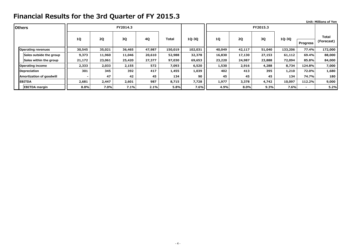|                           |        |           |          |        |              |         |        |         |          |         |                          | <b>Unit: Millions of Yen</b> |
|---------------------------|--------|-----------|----------|--------|--------------|---------|--------|---------|----------|---------|--------------------------|------------------------------|
| <b>Others</b>             |        |           | FY2014.3 |        |              |         |        |         | FY2015.3 |         |                          |                              |
|                           | 1Q     | <b>2Q</b> | 3Q       | 4Q     | <b>Total</b> | 1Q-3Q   | 1Q     | 2Q      | 3Q       | 1Q-3Q   | <b>Progress</b>          | Total<br>(Forecast)          |
| <b>Operating revenues</b> | 30,545 | 35,021    | 36,465   | 47,987 | 150,019      | 102,031 | 40,049 | 42,117  | 51,040   | 133,206 | 77.4%                    | 172,000                      |
| Sales outside the group   | 9,373  | 11,960    | 11,046   | 20,610 | 52,988       | 32,378  | 16,830 | 17,130  | 27,153   | 61,112  | 69.4%                    | 88,000                       |
| Sales within the group    | 21,172 | 23,061    | 25,420   | 27,377 | 97,030       | 69,653  | 23,220 | 24,987  | 23,888   | 72,094  | 85.8%                    | 84,000                       |
| Operating income          | 2,333  | 2,033     | 2,155    | 572    | 7,093        | 6,520   | 1,530  | 2,916   | 4,288    | 8,734   | 124.8%                   | 7,000                        |
| Depreciation              | 301    | 345       | 392      | 417    | 1,455        | 1,039   | 402    | 413     | 395      | 1,210   | 72.0%                    | 1,680                        |
| Amortization of goodwill  |        | 47        | 42       | 45     | 134          | 90      | 45     | 45      | 45       | 134     | 74.7%                    | 180                          |
| <b>EBITDA</b>             | 2,681  | 2,447     | 2,601    | 987    | 8,715        | 7,728   | 1,977  | 3,378   | 4,742    | 10,097  | 112.2%                   | 9,000                        |
| <b>EBITDA</b> margin      | 8.8%   | 7.0%      | 7.1%     | 2.1%   | 5.8%         | 7.6%    | 4.9%   | $8.0\%$ | 9.3%     | 7.6%    | $\overline{\phantom{0}}$ | 5.2%                         |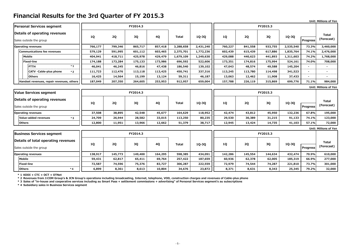|                                                                |                  |                  |                  |                  |                   |                  |                  |                  |                  |                  |                 | UIIII. MIIIIUIIS UI TEI      |
|----------------------------------------------------------------|------------------|------------------|------------------|------------------|-------------------|------------------|------------------|------------------|------------------|------------------|-----------------|------------------------------|
| Personal Services segment                                      |                  |                  | FY2014.3         |                  |                   |                  |                  |                  | FY2015.3         |                  |                 |                              |
| Details of operating revenues<br>Sales outside the group       | 1Q               | <b>2Q</b>        | 3Q               | 4Q               | <b>Total</b>      | 1Q-3Q            | <b>1Q</b>        | <b>2Q</b>        | 3Q               | 1Q-3Q            | <b>Progress</b> | <b>Total</b><br>(Forecast)   |
| <b>Operating revenues</b>                                      | 766,177          | 799,346          | 865,717          | 857,418          | 3,288,658         | 2,431,240        | 760,227          | 841,558          | 933,755          | 2,535,540        | 73.3%           | 3,460,000                    |
| <b>Communications fee revenues</b>                             | 579,129          | 591,995          | 601,112          | 603,465          | 2,375,701         | 1,772,236        | 602,439          | 615,439          | 617,886          | 1,835,764        | 74.1%           | 2,476,000                    |
| Mobile                                                         | 404,941          | 418,711          | 425,978          | 429,479          | 1,679,109         | 1,249,630        | 429,088          | 440,623          | 441,893          | 1,311,603        | 74.2%           | 1,768,000                    |
| <b>Fixed-line</b>                                              | 174,188          | 173,284          | 175,133          | 173,986          | 696,592           | 522,606          | 173,351          | 174,816          | 175,994          | 524,161          | 74.0%           | 708,000                      |
| $*1$<br><b>FTTH</b>                                            | 46,041           | 46,245           | 46,816           | 47,438           | 186,540           | 139,102          | 47,043           | 48,574           | 49,588           | 145,204          |                 |                              |
| CATV · Cable-plus phone<br>$*2$                                | 111,723          | 112,476          | 113,118          | 113,425          | 450,741           | 337,316          | 113,245          | 113,780          | 114,498          | 341,523          |                 | $\overline{\phantom{a}}$     |
| <b>Others</b>                                                  | 16,425           | 14,564           | 15,199           | 13,124           | 59,311            | 46,187           | 13,063           | 12,462           | 11,908           | 37,433           |                 |                              |
| Handset revenues, repair revenues, others                      | 187,049          | 207,350          | 264,605          | 253,953          | 912,957           | 659,004          | 157,788          | 226,119          | 315,869          | 699,776          | 71.1%           | 984,000                      |
|                                                                |                  |                  |                  |                  |                   |                  |                  |                  |                  |                  |                 | Unit: Millions of Yen        |
| <b>Value Services segment</b>                                  |                  |                  | FY2014.3         |                  |                   |                  |                  |                  | FY2015.3         |                  |                 |                              |
| Details of operating revenues<br>Sales outside the group       | 1Q               | <b>2Q</b>        | 3Q               | 4Q               | <b>Total</b>      | 1Q-3Q            | 1Q               | <b>2Q</b>        | 3Q               | 1Q-3Q            | <b>Progress</b> | <b>Total</b><br>(Forecast)   |
|                                                                |                  |                  |                  |                  |                   |                  |                  |                  |                  |                  |                 |                              |
| <b>Operating revenues</b><br>Value-added revenues              | 37,508           | 38,895<br>26,944 | 42,548           | 45,677<br>33,015 | 164,629           | 118,952          | 42,474<br>29,530 | 43,812<br>30,389 | 45,950           | 132,236          | 67.8%<br>74.1%  | 195,000<br>123,000           |
| $*3$<br><b>Others</b>                                          | 24,709<br>12,800 | 11,951           | 28,582<br>13,966 | 12,662           | 113,250<br>51,379 | 80,235<br>38,717 | 12,945           | 13,424           | 31,215<br>14,735 | 91,133<br>41,103 | 57.1%           | 72,000                       |
|                                                                |                  |                  |                  |                  |                   |                  |                  |                  |                  |                  |                 |                              |
| <b>Business Services segment</b>                               |                  |                  | FY2014.3         |                  |                   |                  |                  |                  | FY2015.3         |                  |                 | <b>Unit: Millions of Yen</b> |
|                                                                |                  |                  |                  |                  |                   |                  |                  |                  |                  |                  |                 |                              |
| Details of total operating revenues<br>Sales outside the group | 1Q               | <b>2Q</b>        | 3Q               | 4Q               | <b>Total</b>      | 1Q-3Q            | 10               | <b>2Q</b>        | 3Q               | 1Q-3Q            | Progress        | <b>Total</b><br>(Forecast)   |
| <b>Operating revenues</b>                                      | 138,917          | 145,773          | 149,400          | 164,295          | 598,385           | 434,091          | 142,286          | 145,554          | 144,634          | 432,474          | 70.9%           | 610,000                      |
| Mobile                                                         | 59,431           | 62,817           | 65,411           | 69,764           | 257,422           | 187,659          | 60,936           | 62,378           | 62,005           | 185,319          | 66.9%           | 277,000                      |
| <b>Fixed-line</b>                                              | 72,587           | 74,596           | 75,376           | 83,727           | 306,287           | 222,559          | 72,979           | 74,544           | 74,287           | 221,810          | 73.7%           | 301,000                      |

**Unit: Millions of Yen**

**\* 1 KDDI + CTC + OCT + OTNet**

**\* 2 Revenues from J:COM Group's & JCN Group's operations including broadcasting, Internet, telephone, VOD, construction charges and revenues of Cable-plus phone** 

**\* 3 Sales of "in-house and cooperative services including au Smart Pass + settlement commissions + advertising" of Personal Services segment's au subscriptions**

**\* 4 Subsidiary sales in Business Services segment**

**\* 4**

**Others 6,899 8,361 8,613 10,804 34,676 23,872 8,371 8,631 8,343 25,345 79.2% 32,000**